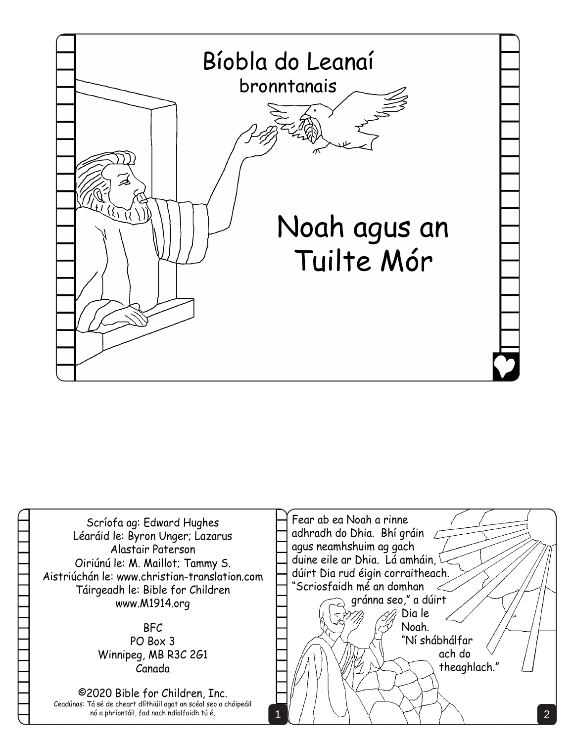

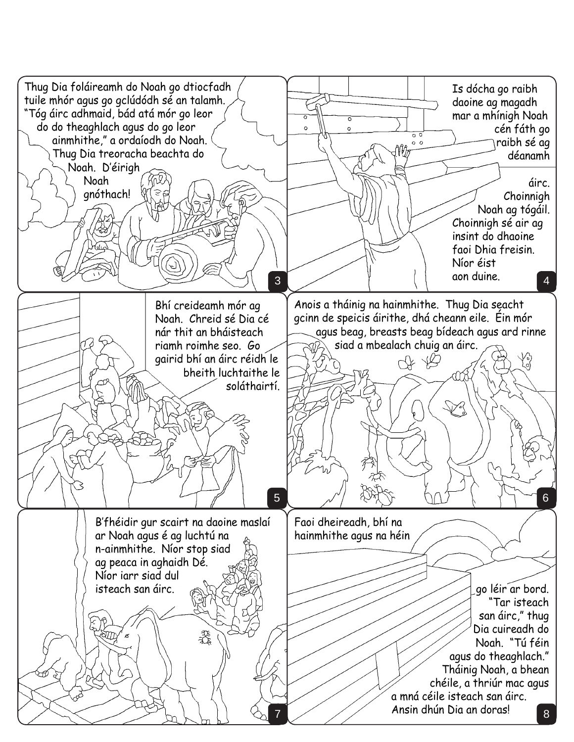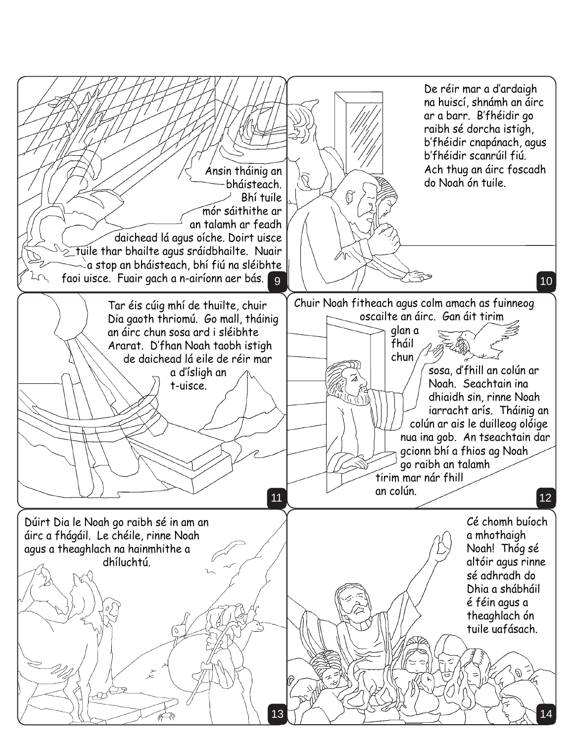